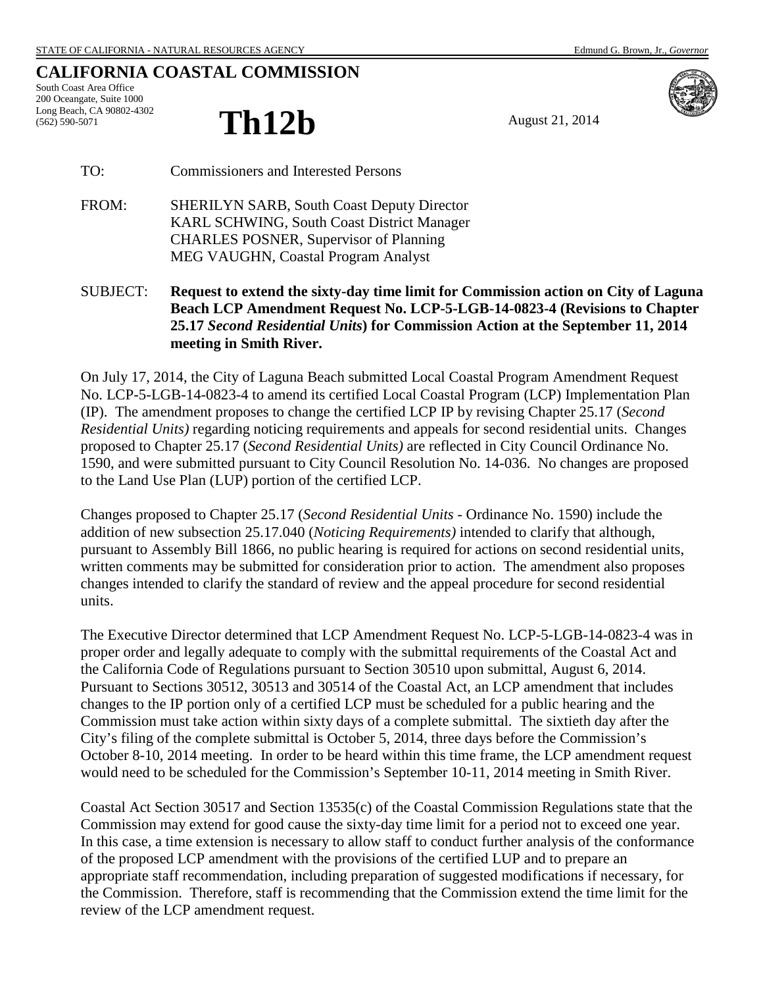## **CALIFORNIA COASTAL COMMISSION**

South Coast Area Office 200 Oceangate, Suite 1000 Long Beach, CA 90802-4302 (562) 590-5071

## **Th12b** August 21, 2014



TO: Commissioners and Interested Persons

- FROM: SHERILYN SARB, South Coast Deputy Director KARL SCHWING, South Coast District Manager CHARLES POSNER, Supervisor of Planning MEG VAUGHN, Coastal Program Analyst
- SUBJECT: **Request to extend the sixty-day time limit for Commission action on City of Laguna Beach LCP Amendment Request No. LCP-5-LGB-14-0823-4 (Revisions to Chapter 25.17** *Second Residential Units***) for Commission Action at the September 11, 2014 meeting in Smith River.**

On July 17, 2014, the City of Laguna Beach submitted Local Coastal Program Amendment Request No. LCP-5-LGB-14-0823-4 to amend its certified Local Coastal Program (LCP) Implementation Plan (IP). The amendment proposes to change the certified LCP IP by revising Chapter 25.17 (*Second Residential Units)* regarding noticing requirements and appeals for second residential units. Changes proposed to Chapter 25.17 (*Second Residential Units)* are reflected in City Council Ordinance No. 1590, and were submitted pursuant to City Council Resolution No. 14-036. No changes are proposed to the Land Use Plan (LUP) portion of the certified LCP.

Changes proposed to Chapter 25.17 (*Second Residential Units* - Ordinance No. 1590) include the addition of new subsection 25.17.040 (*Noticing Requirements)* intended to clarify that although, pursuant to Assembly Bill 1866, no public hearing is required for actions on second residential units, written comments may be submitted for consideration prior to action. The amendment also proposes changes intended to clarify the standard of review and the appeal procedure for second residential units.

The Executive Director determined that LCP Amendment Request No. LCP-5-LGB-14-0823-4 was in proper order and legally adequate to comply with the submittal requirements of the Coastal Act and the California Code of Regulations pursuant to Section 30510 upon submittal, August 6, 2014. Pursuant to Sections 30512, 30513 and 30514 of the Coastal Act, an LCP amendment that includes changes to the IP portion only of a certified LCP must be scheduled for a public hearing and the Commission must take action within sixty days of a complete submittal. The sixtieth day after the City's filing of the complete submittal is October 5, 2014, three days before the Commission's October 8-10, 2014 meeting. In order to be heard within this time frame, the LCP amendment request would need to be scheduled for the Commission's September 10-11, 2014 meeting in Smith River.

Coastal Act Section 30517 and Section 13535(c) of the Coastal Commission Regulations state that the Commission may extend for good cause the sixty-day time limit for a period not to exceed one year. In this case, a time extension is necessary to allow staff to conduct further analysis of the conformance of the proposed LCP amendment with the provisions of the certified LUP and to prepare an appropriate staff recommendation, including preparation of suggested modifications if necessary, for the Commission. Therefore, staff is recommending that the Commission extend the time limit for the review of the LCP amendment request.